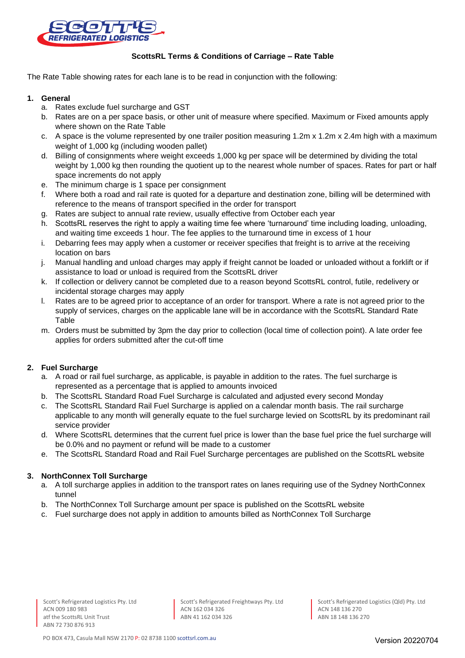

## **ScottsRL Terms & Conditions of Carriage – Rate Table**

The Rate Table showing rates for each lane is to be read in conjunction with the following:

### **1. General**

- a. Rates exclude fuel surcharge and GST
- b. Rates are on a per space basis, or other unit of measure where specified. Maximum or Fixed amounts apply where shown on the Rate Table
- c. A space is the volume represented by one trailer position measuring 1.2m x 1.2m x 2.4m high with a maximum weight of 1,000 kg (including wooden pallet)
- d. Billing of consignments where weight exceeds 1,000 kg per space will be determined by dividing the total weight by 1,000 kg then rounding the quotient up to the nearest whole number of spaces. Rates for part or half space increments do not apply
- e. The minimum charge is 1 space per consignment
- f. Where both a road and rail rate is quoted for a departure and destination zone, billing will be determined with reference to the means of transport specified in the order for transport
- g. Rates are subject to annual rate review, usually effective from October each year
- h. ScottsRL reserves the right to apply a waiting time fee where 'turnaround' time including loading, unloading, and waiting time exceeds 1 hour. The fee applies to the turnaround time in excess of 1 hour
- i. Debarring fees may apply when a customer or receiver specifies that freight is to arrive at the receiving location on bars
- j. Manual handling and unload charges may apply if freight cannot be loaded or unloaded without a forklift or if assistance to load or unload is required from the ScottsRL driver
- k. If collection or delivery cannot be completed due to a reason beyond ScottsRL control, futile, redelivery or incidental storage charges may apply
- l. Rates are to be agreed prior to acceptance of an order for transport. Where a rate is not agreed prior to the supply of services, charges on the applicable lane will be in accordance with the ScottsRL Standard Rate Table
- m. Orders must be submitted by 3pm the day prior to collection (local time of collection point). A late order fee applies for orders submitted after the cut-off time

# **2. Fuel Surcharge**

- a. A road or rail fuel surcharge, as applicable, is payable in addition to the rates. The fuel surcharge is represented as a percentage that is applied to amounts invoiced
- b. The ScottsRL Standard Road Fuel Surcharge is calculated and adjusted every second Monday
- c. The ScottsRL Standard Rail Fuel Surcharge is applied on a calendar month basis. The rail surcharge applicable to any month will generally equate to the fuel surcharge levied on ScottsRL by its predominant rail service provider
- d. Where ScottsRL determines that the current fuel price is lower than the base fuel price the fuel surcharge will be 0.0% and no payment or refund will be made to a customer
- e. The ScottsRL Standard Road and Rail Fuel Surcharge percentages are published on the ScottsRL website

# **3. NorthConnex Toll Surcharge**

- a. A toll surcharge applies in addition to the transport rates on lanes requiring use of the Sydney NorthConnex tunnel
- b. The NorthConnex Toll Surcharge amount per space is published on the ScottsRL website
- c. Fuel surcharge does not apply in addition to amounts billed as NorthConnex Toll Surcharge

Scott's Refrigerated Freightways Pty. Ltd ACN 162 034 326 ABN 41 162 034 326